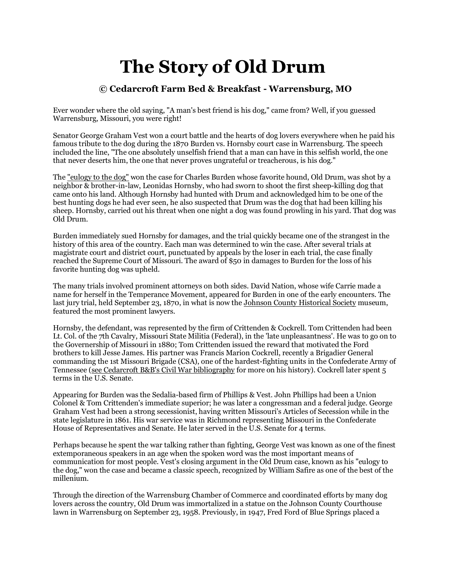## **The Story of Old Drum**

## **© Cedarcroft Farm Bed & Breakfast - Warrensburg, MO**

Ever wonder where the old saying, "A man's best friend is his dog," came from? Well, if you guessed Warrensburg, Missouri, you were right!

Senator George Graham Vest won a court battle and the hearts of dog lovers everywhere when he paid his famous tribute to the dog during the 1870 Burden vs. Hornsby court case in Warrensburg. The speech included the line, "The one absolutely unselfish friend that a man can have in this selfish world, the one that never deserts him, the one that never proves ungrateful or treacherous, is his dog."

The "eulogy to the dog" won the case for Charles Burden whose favorite hound, Old Drum, was shot by a neighbor & brother-in-law, Leonidas Hornsby, who had sworn to shoot the first sheep-killing dog that came onto his land. Although Hornsby had hunted with Drum and acknowledged him to be one of the best hunting dogs he had ever seen, he also suspected that Drum was the dog that had been killing his sheep. Hornsby, carried out his threat when one night a dog was found prowling in his yard. That dog was Old Drum.

Burden immediately sued Hornsby for damages, and the trial quickly became one of the strangest in the history of this area of the country. Each man was determined to win the case. After several trials at magistrate court and district court, punctuated by appeals by the loser in each trial, the case finally reached the Supreme Court of Missouri. The award of \$50 in damages to Burden for the loss of his favorite hunting dog was upheld.

The many trials involved prominent attorneys on both sides. David Nation, whose wife Carrie made a name for herself in the Temperance Movement, appeared for Burden in one of the early encounters. The last jury trial, held September 23, 1870, in what is now the [Johnson County Historical Society](http://www.digitalhistory.com/schools/JohnsonCountyHistoricalSociety/home.htm) museum, featured the most prominent lawyers.

Hornsby, the defendant, was represented by the firm of Crittenden & Cockrell. Tom Crittenden had been Lt. Col. of the 7th Cavalry, Missouri State Militia (Federal), in the 'late unpleasantness'. He was to go on to the Governership of Missouri in 1880; Tom Crittenden issued the reward that motivated the Ford brothers to kill Jesse James. His partner was Francis Marion Cockrell, recently a Brigadier General commanding the 1st Missouri Brigade (CSA), one of the hardest-fighting units in the Confederate Army of Tennessee [\(see Cedarcroft B&B's Civil War bibliography](http://www.cedarcroft.com/cw/biblio.html) for more on his history). Cockrell later spent 5 terms in the U.S. Senate.

Appearing for Burden was the Sedalia-based firm of Phillips & Vest. John Phillips had been a Union Colonel & Tom Crittenden's immediate superior; he was later a congressman and a federal judge. George Graham Vest had been a strong secessionist, having written Missouri's Articles of Secession while in the state legislature in 1861. His war service was in Richmond representing Missouri in the Confederate House of Representatives and Senate. He later served in the U.S. Senate for 4 terms.

Perhaps because he spent the war talking rather than fighting, George Vest was known as one of the finest extemporaneous speakers in an age when the spoken word was the most important means of communication for most people. Vest's closing argument in the Old Drum case, known as his "eulogy to the dog," won the case and became a classic speech, recognized by William Safire as one of the best of the millenium.

Through the direction of the Warrensburg Chamber of Commerce and coordinated efforts by many dog lovers across the country, Old Drum was immortalized in a statue on the Johnson County Courthouse lawn in Warrensburg on September 23, 1958. Previously, in 1947, Fred Ford of Blue Springs placed a